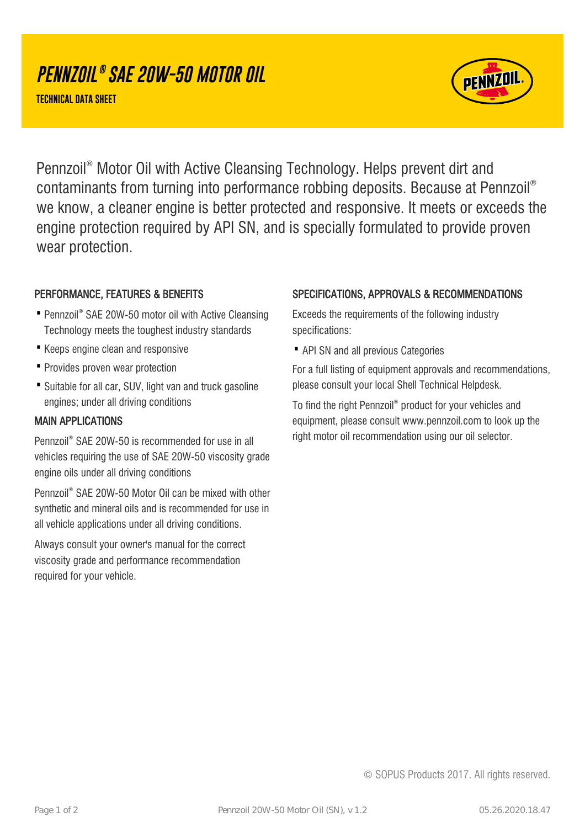# **PENNZOIL ® SAE 20W-50 MOTOR OIL**

**TECHNICAL DATA SHEET**



Pennzoil® Motor Oil with Active Cleansing Technology. Helps prevent dirt and contaminants from turning into performance robbing deposits. Because at Pennzoil® we know, a cleaner engine is better protected and responsive. It meets or exceeds the engine protection required by API SN, and is specially formulated to provide proven wear protection.

#### PERFORMANCE, FEATURES & BENEFITS

- Pennzoil<sup>®</sup> SAE 20W-50 motor oil with Active Cleansing Technology meets the toughest industry standards
- · Keeps engine clean and responsive
- · Provides proven wear protection
- Suitable for all car, SUV, light van and truck gasoline engines; under all driving conditions

#### MAIN APPLICATIONS

Pennzoil® SAE 20W-50 is recommended for use in all vehicles requiring the use of SAE 20W-50 viscosity grade engine oils under all driving conditions

Pennzoil® SAE 20W-50 Motor Oil can be mixed with other synthetic and mineral oils and is recommended for use in all vehicle applications under all driving conditions.

Always consult your owner's manual for the correct viscosity grade and performance recommendation required for your vehicle.

#### SPECIFICATIONS, APPROVALS & RECOMMENDATIONS

Exceeds the requirements of the following industry specifications:

· API SN and all previous Categories

For a full listing of equipment approvals and recommendations, please consult your local Shell Technical Helpdesk.

To find the right Pennzoil® product for your vehicles and equipment, please consult www.pennzoil.com to look up the right motor oil recommendation using our oil selector.